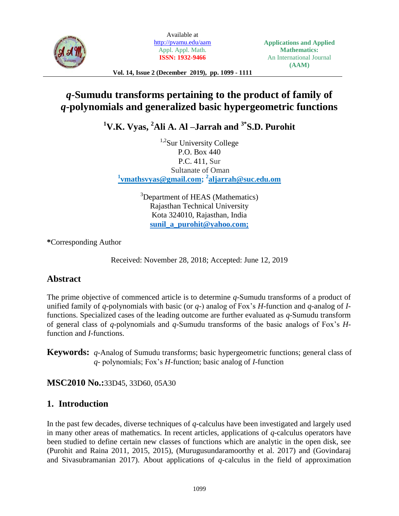

Available at <http://pvamu.edu/aam> Appl. Appl. Math. **ISSN: 1932-9466**

**Applications and Applied Mathematics:** An International Journal **(AAM)**

**Vol. 14, Issue 2 (December 2019), pp. 1099 - 1111**

# *q***-Sumudu transforms pertaining to the product of family of**  *q***-polynomials and generalized basic hypergeometric functions**

**<sup>1</sup>V.K. Vyas, <sup>2</sup>Ali A. Al –Jarrah and 3\*S.D. Purohit**

 $1.2$ Sur University College P.O. Box 440 P.C. 411, Sur Sultanate of Oman **1 [vmathsvyas@gmail.com;](mailto:vmathsvyas@gmail.com) <sup>2</sup> [aljarrah@suc.edu.om](mailto:aljarrah@suc.edu.om)**

> <sup>3</sup>Department of HEAS (Mathematics) Rajasthan Technical University Kota 324010, Rajasthan, India **[sunil\\_a\\_purohit@yahoo.com;](mailto:3sunil_a_purohit@yahoo.com)**

**\***Corresponding Author

Received: November 28, 2018; Accepted: June 12, 2019

# **Abstract**

The prime objective of commenced article is to determine *q*-Sumudu transforms of a product of unified family of *q*-polynomials with basic (or *q*-) analog of Fox's *H*-function and *q*-analog of *I*functions. Specialized cases of the leading outcome are further evaluated as *q*-Sumudu transform of general class of *q*-polynomials and *q*-Sumudu transforms of the basic analogs of Fox's *H*function and *I*-functions.

**Keywords:** *q*-Analog of Sumudu transforms; basic hypergeometric functions; general class of *q*- polynomials; Fox's *H*-function; basic analog of *I*-function

**MSC2010 No.:**33D45, 33D60, 05A30

# **1. Introduction**

In the past few decades, diverse techniques of *q*-calculus have been investigated and largely used in many other areas of mathematics. In recent articles, applications of *q*-calculus operators have been studied to define certain new classes of functions which are analytic in the open disk, see (Purohit and Raina 2011, 2015, 2015), (Murugusundaramoorthy et al. 2017) and (Govindaraj and Sivasubramanian 2017). About applications of *q*-calculus in the field of approximation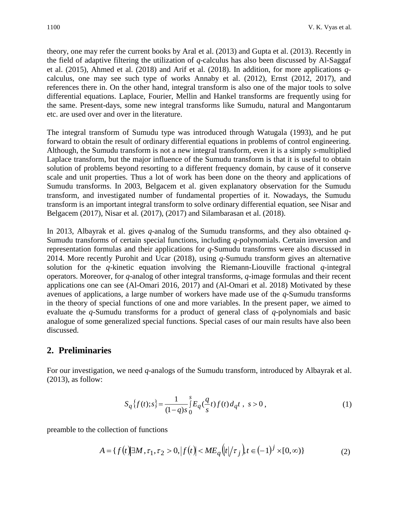theory, one may refer the current books by Aral et al. (2013) and Gupta et al. (2013). Recently in the field of adaptive filtering the utilization of *q*-calculus has also been discussed by Al-Saggaf et al. (2015), Ahmed et al. (2018) and Arif et al. (2018). In addition, for more applications *q*calculus, one may see such type of works Annaby et al. (2012), Ernst (2012, 2017), and references there in. On the other hand, integral transform is also one of the major tools to solve differential equations. Laplace, Fourier, Mellin and Hankel transforms are frequently using for the same. Present-days, some new integral transforms like Sumudu, natural and Mangontarum etc. are used over and over in the literature.

The integral transform of Sumudu type was introduced through Watugala (1993), and he put forward to obtain the result of ordinary differential equations in problems of control engineering. Although, the Sumudu transform is not a new integral transform, even it is a simply *s*-multiplied Laplace transform, but the major influence of the Sumudu transform is that it is useful to obtain solution of problems beyond resorting to a different frequency domain, by cause of it conserve scale and unit properties. Thus a lot of work has been done on the theory and applications of Sumudu transforms. In 2003, Belgacem et al. given explanatory observation for the Sumudu transform, and investigated number of fundamental properties of it. Nowadays, the Sumudu transform is an important integral transform to solve ordinary differential equation, see Nisar and Belgacem (2017), Nisar et al*.* (2017), (2017) and Silambarasan et al. (2018).

In 2013, Albayrak et al. gives *q*-analog of the Sumudu transforms, and they also obtained *q*-Sumudu transforms of certain special functions, including *q*-polynomials. Certain inversion and representation formulas and their applications for *q*-Sumudu transforms were also discussed in 2014. More recently Purohit and Ucar (2018), using *q*-Sumudu transform gives an alternative solution for the *q*-kinetic equation involving the Riemann-Liouville fractional *q*-integral operators. Moreover, for *q*-analog of other integral transforms, *q*-image formulas and their recent applications one can see [\(Al-Omari](https://www.sciencedirect.com/science/article/pii/S1018364715000439#!) 2016, 2017) and [\(Al-Omari](https://www.sciencedirect.com/science/article/pii/S1018364715000439#!) et al. 2018) Motivated by these avenues of applications, a large number of workers have made use of the *q*-Sumudu transforms in the theory of special functions of one and more variables. In the present paper, we aimed to evaluate the *q*-Sumudu transforms for a product of general class of *q*-polynomials and basic analogue of some generalized special functions. Special cases of our main results have also been discussed.

# **2. Preliminaries**

For our investigation, we need *q*-analogs of the Sumudu transform, introduced by Albayrak et al. (2013), as follow:

$$
S_q\{f(t);s\} = \frac{1}{(1-q)s} \int_0^s E_q(\frac{q}{s}t) f(t) d_q t, \ s > 0,
$$
\n(1)

preamble to the collection of functions

$$
A = \{ f(t) | \exists M, \tau_1, \tau_2 > 0, |f(t)| < ME_q(|t| / \tau_j) \} \in (-1)^j \times [0, \infty) \}
$$
 (2)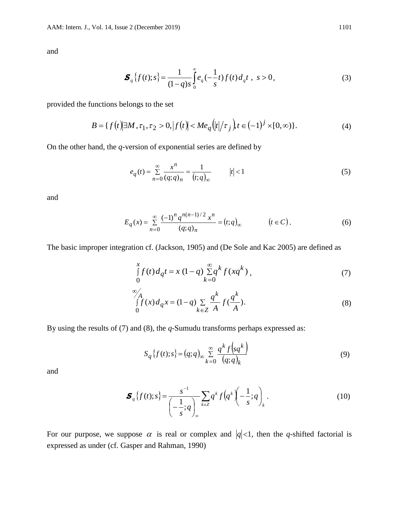and

$$
\boldsymbol{S}_q \left\{ f(t); s \right\} = \frac{1}{(1-q)s} \int_0^\infty e_q(-\frac{1}{s}t) f(t) d_q t , \ s > 0, \tag{3}
$$

provided the functions belongs to the set

$$
B = \{ f(t) | \exists M, \tau_1, \tau_2 > 0, |f(t)| < Me_q \left( |t| / \tau_j \right), t \in (-1)^j \times [0, \infty) \}. \tag{4}
$$

On the other hand, the *q*-version of exponential series are defined by

$$
e_q(t) = \sum_{n=0}^{\infty} \frac{x^n}{(q;q)_n} = \frac{1}{(t;q)_{\infty}} \qquad |t| < 1
$$
 (5)

and

$$
E_q(x) = \sum_{n=0}^{\infty} \frac{(-1)^n q^{n(n-1)/2} x^n}{(q;q)_n} = (t;q)_{\infty} \qquad (t \in C).
$$
 (6)

The basic improper integration cf. (Jackson, 1905) and (De Sole and Kac 2005) are defined as

$$
\int_{0}^{x} f(t) d_{q} t = x (1-q) \sum_{k=0}^{\infty} q^{k} f(xq^{k}), \qquad (7)
$$

$$
\int_{0}^{\infty} f(x) d_q x = (1-q) \sum_{k \in \mathbb{Z}} \frac{q^k}{A} f(\frac{q^k}{A}).
$$
\n(8)

By using the results of (7) and (8), the *q*-Sumudu transforms perhaps expressed as:

$$
S_q\{f(t);s\} = (q;q)_{\infty} \sum_{k=0}^{\infty} \frac{q^k f\left(sq^k\right)}{\left(q;q\right)_k} \tag{9}
$$

and

$$
\boldsymbol{S}_q\left\{f(t);s\right\} = \frac{s^{-1}}{\left(-\frac{1}{s};q\right)_\infty} \sum_{k \in \mathbb{Z}} q^k f\left(q^k\right) \left(-\frac{1}{s};q\right)_k.
$$
\n(10)

For our purpose, we suppose  $\alpha$  is real or complex and  $|q|<1$ , then the *q*-shifted factorial is expressed as under (cf. Gasper and Rahman, 1990)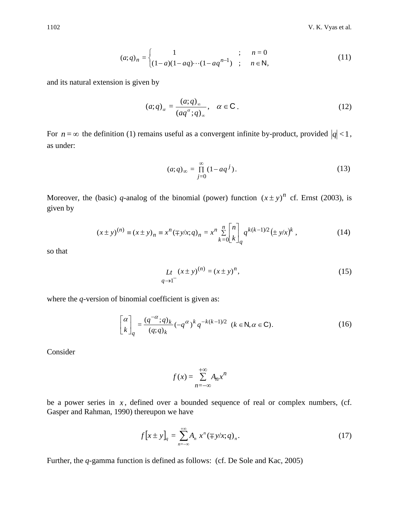$$
(a;q)_n = \begin{cases} 1 & ; & n = 0 \\ (1-a)(1-aq)\cdots(1-aq^{n-1}) & ; & n \in \mathbb{N}, \end{cases}
$$
 (11)

and its natural extension is given by

$$
(a;q)_{\alpha} = \frac{(a;q)_{\infty}}{(aq^{\alpha};q)_{\infty}}, \quad \alpha \in \mathbb{C} \,. \tag{12}
$$

For  $n = \infty$  the definition (1) remains useful as a convergent infinite by-product, provided  $|q| < 1$ , as under:

$$
(a;q)_{\infty} = \prod_{j=0}^{\infty} (1 - aq^{j}).
$$
\n(13)

Moreover, the (basic) q-analog of the binomial (power) function  $(x \pm y)^n$  cf. Ernst (2003), is given by

$$
(x \pm y)^{(n)} \equiv (x \pm y)_n \equiv x^n (\mp y/x; q)_n = x^n \sum_{k=0}^n {n \brack k}_q q^{k(k-1)/2} (\pm y/x)^k , \qquad (14)
$$

so that

$$
Lt (x \pm y)^{(n)} = (x \pm y)^n,
$$
\n(15)

where the *q*-version of binomial coefficient is given as:

$$
\begin{bmatrix} \alpha \\ k \end{bmatrix}_q = \frac{(q^{-\alpha};q)_k}{(q;q)_k} (-q^{\alpha})^k q^{-k(k-1)/2} \quad (k \in \mathbb{N}, \alpha \in \mathbb{C}).
$$
 (16)

Consider

$$
f(x) = \sum_{n = -\infty}^{+\infty} A_n x^n
$$

be a power series in  $x$ , defined over a bounded sequence of real or complex numbers, (cf. Gasper and Rahman, 1990) thereupon we have

$$
f\big[x \pm y\big]_q = \sum_{n=-\infty}^{+\infty} A_n x^n (\mp y/x; q)_n. \tag{17}
$$

Further, the *q*-gamma function is defined as follows: (cf. De Sole and Kac, 2005)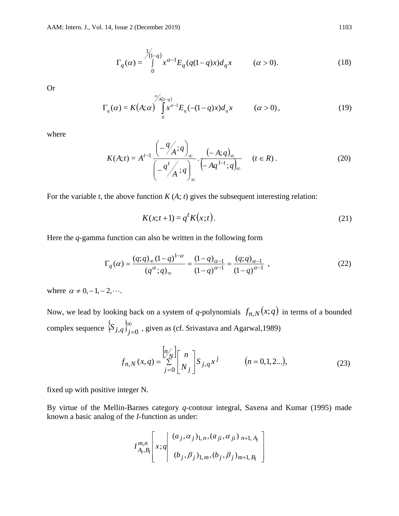$$
\Gamma_q(\alpha) = \int_{0}^{\frac{1}{\sqrt{1-q}}} x^{\alpha-1} E_q(q(1-q)x) d_q x \qquad (\alpha > 0).
$$
 (18)

Or

$$
\Gamma_q(\alpha) = K(A; \alpha) \int_{0}^{\infty} x^{\alpha-1} E_q(-(1-q)x) d_q x \qquad (\alpha > 0), \qquad (19)
$$

where

$$
K(A;t) = A^{t-1} \frac{\left(-\frac{q}{A};q\right)_{\infty}}{\left(-\frac{q^t}{A};q\right)_{\infty}} \cdot \frac{\left(-A;q\right)_{\infty}}{\left(-Aq^{1-t};q\right)_{\infty}} \qquad (t \in R).
$$
 (20)

For the variable  $t$ , the above function  $K(A; t)$  gives the subsequent interesting relation:

$$
K(x;t+1) = q^t K(x;t).
$$
\n(21)

Here the *q*-gamma function can also be written in the following form

$$
\Gamma_q(\alpha) = \frac{(q;q)_{\infty}(1-q)^{1-\alpha}}{(q^{\alpha};q)_{\infty}} = \frac{(1-q)_{\alpha-1}}{(1-q)^{\alpha-1}} = \frac{(q;q)_{\alpha-1}}{(1-q)^{\alpha-1}},
$$
\n(22)

where  $\alpha \neq 0, -1, -2, \cdots$ .

Now, we lead by looking back on a system of *q*-polynomials  $f_{n,N}(x;q)$  in terms of a bounded complex sequence  $\{S_{i,q}\}_{i=1}^{\infty}$  $\mathcal{S}_{j,q} \big|_{j=0}^{\infty}$ , given as (cf. Srivastava and Agarwal, 1989)

$$
f_{n,N}(x,q) = \sum_{j=0}^{\left[n\atop N\right]}\begin{bmatrix} n \\ N_j \end{bmatrix} S_{j,q} x^j \qquad (n = 0, 1, 2...),
$$
 (23)

fixed up with positive integer N.

By virtue of the Mellin-Barnes category *q*-contour integral, Saxena and Kumar (1995) made known a basic analog of the *I*-function as under:

$$
I^{m,n}_{A_i,B_i} \left[ x;q \middle| \begin{array}{c} (a_j,\alpha_j)_{1,n}, (a_{ji},\alpha_{ji})_{n+1,A_i} \\ (b_j,\beta_j)_{1,m}, (b_j,\beta_j)_{m+1,B_i} \end{array} \right]
$$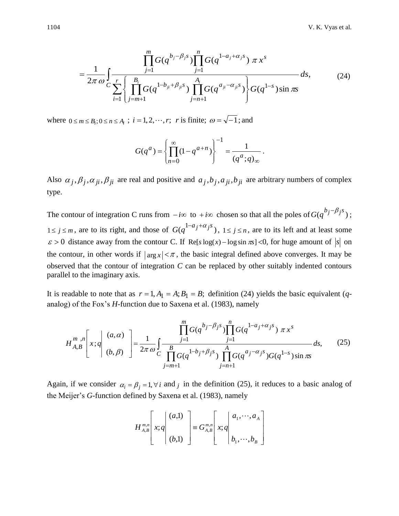$$
= \frac{1}{2\pi \omega} \int_{C} \frac{\prod_{j=1}^{m} G(q^{b_j - \beta_j s}) \prod_{j=1}^{n} G(q^{1 - a_j + \alpha_j s}) \pi x^{s}}{ \sum_{i=1}^{r} \left\{ \prod_{j=m+1}^{B_i} G(q^{1 - b_{ji} + \beta_{ji} s}) \prod_{j=n+1}^{A_i} G(q^{a_{ji} - \alpha_{ji} s}) \right\} G(q^{1 - s}) \sin \pi s}
$$
(24)

where  $0 \le m \le B_i$ ;  $0 \le n \le A_i$ ;  $i = 1, 2, \dots, r$ ; *r* is finite;  $\omega = \sqrt{-1}$ ; and

$$
G(q^{a}) = \left\{ \prod_{n=0}^{\infty} (1 - q^{a+n}) \right\}^{-1} = \frac{1}{(q^{a}; q)_{\infty}}.
$$

Also  $\alpha_j$ ,  $\beta_j$ ,  $\alpha_{ji}$ ,  $\beta_{ji}$  are real and positive and  $a_j$ ,  $b_j$ ,  $a_{ji}$ ,  $b_{ji}$  are arbitrary numbers of complex type.

The contour of integration C runs from  $-i\infty$  to  $+i\infty$  chosen so that all the poles of  $G(q^{b_j-\beta_j s})$ ;  $1 \le j \le m$ , are to its right, and those of  $G(q^{1-a_j+a_j s})$ ,  $1 \le j \le n$ , are to its left and at least some  $\varepsilon > 0$  distance away from the contour C. If Re[s log(x) – log sin  $\pi s$ ] <0, for huge amount of s on the contour, in other words if  $|\arg x| < \pi$ , the basic integral defined above converges. It may be observed that the contour of integration *C* can be replaced by other suitably indented contours parallel to the imaginary axis.

It is readable to note that as  $r = 1, A_1 = A$ ;  $B_1 = B$ ; definition (24) yields the basic equivalent (*q*analog) of the Fox's *H*-function due to Saxena et al. (1983), namely

$$
H_{A,B}^{m,n}\left[x;q\middle|\begin{array}{c}(a,\alpha)\\(b,\beta)\end{array}\right] = \frac{1}{2\pi\omega} \int_{C} \frac{\prod_{j=1}^{m} G(q^{b_j-\beta_j s}) \prod_{j=1}^{n} G(q^{1-a_j+\alpha_j s}) \pi x^{s}}{\prod_{j=m+1}^{B} G(q^{1-b_j+\beta_j s}) \prod_{j=n+1}^{A} G(q^{a_j-\alpha_j s}) G(q^{1-s}) \sin \pi x}\,ds,\qquad(25)
$$

Again, if we consider  $\alpha_i = \beta_j = 1, \forall i$  and *j* in the definition (25), it reduces to a basic analog of the Meijer's *G*-function defined by Saxena et al. (1983), namely

$$
H_{A,B}^{m,n}\left[x;q\middle|\begin{array}{c}(a,1)\\(b,1)\end{array}\right]\equiv G_{A,B}^{m,n}\left[x;q\middle|\begin{array}{c}a_1,\cdots,a_A\\b_1,\cdots,b_B\end{array}\right]
$$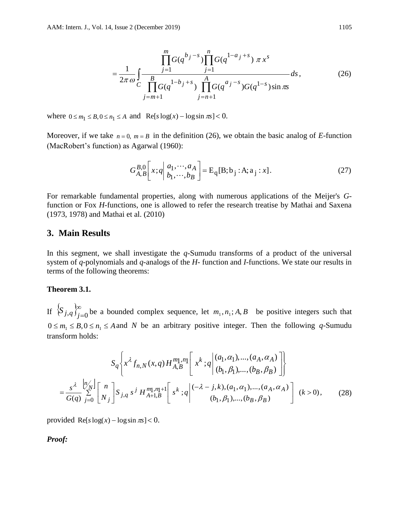$$
= \frac{1}{2\pi \omega} \int_{C} \frac{\prod_{j=1}^{m} G(q^{b_j - s}) \prod_{j=1}^{n} G(q^{1 - a_j + s}) \pi x^{s}}{\prod_{j=m+1}^{B} G(q^{1 - b_j + s}) \prod_{j=n+1}^{A} G(q^{a_j - s}) G(q^{1 - s}) \sin \pi x}
$$
(26)

where  $0 \le m_1 \le B$ ,  $0 \le n_1 \le A$  and  $\text{Re}[s \log(x) - \log \sin(\pi s)] < 0$ .

Moreover, if we take  $n = 0$ ,  $m = B$  in the definition (26), we obtain the basic analog of *E*-function (MacRobert's function) as Agarwal (1960):

$$
G_{A,B}^{B,0} \left[ x;q \middle| \begin{array}{c} a_1, \cdots, a_A \\ b_1, \cdots, b_B \end{array} \right] = E_q[B;b_j : A; a_j : x]. \tag{27}
$$

For remarkable fundamental properties, along with numerous applications of the Meijer's *G*function or Fox *H*-functions, one is allowed to refer the research treatise by Mathai and Saxena (1973, 1978) and Mathai et al. (2010)

### **3. Main Results**

In this segment, we shall investigate the *q*-Sumudu transforms of a product of the universal system of *q*-polynomials and *q*-analogs of the *H*- function and *I*-functions. We state our results in terms of the following theorems:

#### **Theorem 3.1.**

If  $\{S_{i,q}\}_{i=1}^{\infty}$  $\int_{j,q}$   $\int_{j=0}^{\infty}$  be a bounded complex sequence, let  $m_1, n_1$ ; *A*, *B* be positive integers such that  $0 \le m_1 \le B$ ,  $0 \le n_1 \le A$  and *N* be an arbitrary positive integer. Then the following *q*-Sumudu transform holds:

$$
S_q \left\{ x^{\lambda} f_{n,N}(x,q) H_{A,B}^{m_1,n_1} \left[ x^k \, ; q \middle| \, (a_1, \alpha_1), \dots, (a_A, \alpha_A) \right] \right\}
$$
\n
$$
= \frac{s^{\lambda}}{G(q)} \sum_{j=0}^{[n]} \left[ n \atop N_j \right] S_{j,q} s^j H_{A+1,B}^{m_1,n_1+1} \left[ s^k \, ; q \middle| \, (-\lambda - j, k), (a_1, \alpha_1), \dots, (a_A, \alpha_A) \right] (k > 0), \qquad (28)
$$

provided  $\text{Re}[s \log(x) - \log \sin \pi s] < 0$ .

*Proof:*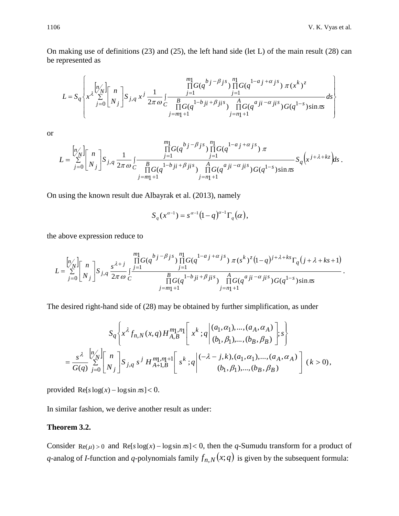On making use of definitions (23) and (25), the left hand side (let L) of the main result (28) can be represented as

$$
L = S_q \left\{ x^{\lambda} \sum_{j=0}^{[n]} \begin{bmatrix} n \\ x^{\lambda} \sum_{j=0}^{[n]} \begin{bmatrix} n \\ N_j \end{bmatrix} S_{j,q} x^j \frac{1}{2\pi \omega} \int \frac{\prod_{j=1}^{m} G(q^{bj-\beta} j^s) \prod_{j=1}^{n} G(q^{1-a} j^+ \alpha j^s)}{\prod_{j=1}^{m} G(q^{1-b} j^i + \beta j^i s)} \frac{A}{\prod_{j=1}^{n} G(q^{a} j^i - \alpha j^i s)} G(q^{1-s}) \sin \pi s} ds \right\}
$$

or

$$
L = \sum_{j=0}^{[n]}\begin{bmatrix} n \\ N_j \end{bmatrix} S_{j,q} \frac{1}{2\pi \omega} \int_{C} \frac{\prod_{j=1}^{m_1} G(q^{b_j-\beta} j^s) \prod_{j=1}^{n_1} G(q^{1-a_j+\alpha} j^s)}{\prod_{j=m_1+1}^{m_1} G(q^{1-b_jj} + \beta j^s) \prod_{j=n_1+1}^{A} G(q^{a_jj} - \alpha j^s) G(q^{1-s}) \sin \pi s} S_q(x^{j+\lambda+kz}) ds.
$$

On using the known result due Albayrak et al. (2013), namely

$$
S_q(x^{\alpha-1}) = s^{\alpha-1}(1-q)^{\alpha-1}\Gamma_q(\alpha),
$$

the above expression reduce to

e above expression reduce to  
\n
$$
L = \sum_{j=0}^{\lfloor n/\ell \rfloor} \binom{n}{N_j} S_{j,q} \frac{s^{\lambda+j}}{2\pi \omega} \frac{\prod_{j=1}^{m_1} G(q^{b_j - \beta_j s}) \prod_{j=1}^{n_1} G(q^{1-a_j + \alpha_j s}) \pi(s^k)^{z} (1-q)^{j+\lambda+k} S_{\lceil n/\ell \rceil} (j+\lambda+ks+1)}{\prod_{j=1}^{n_1} G(q^{1-b_j j + \beta_j j + \beta_j s}) \prod_{j=n_1+1}^{n_1} G(q^{a_j j - \alpha_j j + \delta_j s}) G(q^{1-s}) \sin \pi s}.
$$

The desired right-hand side of (28) may be obtained by further simplification, as under

$$
S_q\left\{ x^{\lambda} f_{n,N}(x,q) H_{A,B}^{m_1,n_1} \left[ x^k ; q \middle| \begin{array}{l} (a_1, \alpha_1), \dots, (a_A, \alpha_A) \\ (b_1, \beta_1), \dots, (b_B, \beta_B) \end{array} \right]; s \right\}
$$
  
= 
$$
\frac{s^{\lambda}}{G(q)} \sum_{j=0}^{\lfloor n/2 \rfloor} \left[ n \atop N_j \right] S_{j,q} s^j H_{A+1,B}^{m_1,n_1+1} \left[ s^k ; q \middle| \begin{array}{l} (-\lambda - j,k), (a_1, \alpha_1), \dots, (a_A, \alpha_A) \\ (b_1, \beta_1), \dots, (b_B, \beta_B) \end{array} \right] (k > 0),
$$

provided  $\text{Re}[s \log(x) - \log \sin(\pi s)] < 0$ .

In similar fashion, we derive another result as under:

# **Theorem 3.2.**

Consider  $\text{Re}(\mu) > 0$  and  $\text{Re}[s \log(x) - \log \sin \pi s] < 0$ , then the *q*-Sumudu transform for a product of *q*-analog of *I*-function and *q*-polynomials family  $f_{n,N}(x;q)$  is given by the subsequent formula: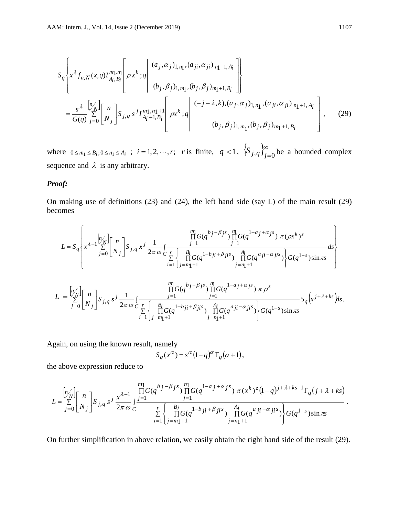$$
S_{q} \left\{ x^{\lambda} f_{n,N}(x,q) I_{A_{i},B_{i}}^{m1,n} \left[ \rho x^{k};q \left| \begin{array}{c} (a_{j},\alpha_{j})_{1,n_{1}}, (a_{ji},\alpha_{ji})_{n_{1}+1,A_{i}} \\ (b_{j},\beta_{j})_{1,m_{1}}, (b_{j},\beta_{j})_{m_{1}+1,B_{i}} \end{array} \right| \right\}
$$
  

$$
= \frac{s^{\lambda}}{G(q)} \sum_{j=0}^{\left[n/\lambda\right]} \left[ n \atop N_{j} \right] S_{j,q} s^{j} I_{A_{i}+1,B_{i}}^{m1,n_{1}+1} \left[ \rho x^{k};q \left| \begin{array}{c} (-j-\lambda,k),(a_{j},\alpha_{j})_{1,n_{1}}, (a_{ji},\alpha_{ji})_{n_{1}+1,A_{i}} \\ (b_{j},\beta_{j})_{1,m_{1}}, (b_{j},\beta_{j})_{m_{1}+1,B_{i}} \end{array} \right] \right], \quad (29)
$$

where  $0 \le m_1 \le B_i$ ;  $0 \le n_1 \le A_i$ ;  $i = 1, 2, \dots, r$ ; *r* is finite,  $|q| < 1$ ,  $\{S_{j,q}\}_{j=1}^{\infty}$  $\left\{S_{j,q}\right\}_{j=0}^{\infty}$  be a bounded complex sequence and  $\lambda$  is any arbitrary.

### *Proof:*

On making use of definitions (23) and (24), the left hand side (say L) of the main result (29) becomes

$$
L = S_q \left\{ x^{\lambda-1} \sum_{j=0}^{[n]} \begin{bmatrix} n \\ N_j \end{bmatrix} S_{j,q} x^j \frac{1}{2\pi \omega} \int_{\substack{r=1 \ i=1}}^{\substack{m \text{min} \\ \prod_{j=1}^{\text{min} \\ \prod_{j=m_1+1}^{\text{min} \{d_j - \beta_j s\}}} \prod_{j=1}^{n} G(q^{1-a_j + \alpha_j s}) \pi (\rho x^k)^s}{d s} ds \right\}
$$

$$
L = \sum_{j=0}^{[n]}\begin{bmatrix} n \\ N_j \end{bmatrix}S_{j,q} s^j \frac{1}{2\pi \omega} \int_{\substack{r=1 \ i=1}}^{\frac{m}{2}} \frac{\prod_{j=1}^{m} G(q^{bj-\beta j s}) \prod_{j=1}^{n} G(q^{1-a_j+\alpha j s}) \pi \rho^s}{\prod_{i=1}^{m} G(q^{1-b_j i+\beta j i s}) \prod_{j=n+1}^{n} G(q^{a_j i-\alpha j i s})} S_q(x^{j+\lambda+ks}) ds.
$$

Again, on using the known result, namely

$$
S_q(x^{\alpha}) = s^{\alpha} (1 - q)^{\alpha} \Gamma_q(\alpha + 1),
$$

the above expression reduce to

The above expression reduce to  
\n
$$
L = \sum_{j=0}^{\lfloor n/\ell \rfloor} \binom{n}{N_j} S_{j,q} s^j \frac{x^{\lambda-1}}{2\pi \omega} \int_{C}^{\frac{m}{j-1}} \frac{\prod_{j=1}^{m} G(q^{b_j-\beta_j s}) \prod_{j=1}^{n} G(q^{1-a_j+\alpha_j s}) \pi(x^k)^z (1-q)^{j+\lambda+k} S^{-1} \Gamma_q(j+\lambda+k) }{\sum_{i=1}^{r} \binom{B_i}{j=m_1+1} G(q^{1-b_j i+\beta_j i s}) \prod_{j=n_1+1}^{A_i} G(q^{a_j i-\alpha_j i s})} G(q^{1-s}) \sin \pi s.
$$

On further simplification in above relation, we easily obtain the right hand side of the result (29).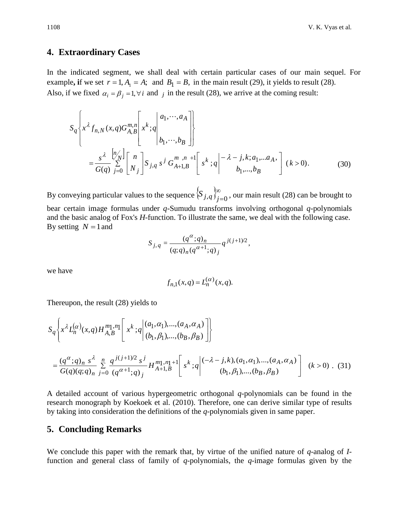## **4. Extraordinary Cases**

In the indicated segment, we shall deal with certain particular cases of our main sequel. For example, if we set  $r = 1, A_1 = A$ ; and  $B_1 = B$ , in the main result (29), it yields to result (28). Also, if we fixed  $\alpha_i = \beta_j = 1, \forall i$  and *j* in the result (28), we arrive at the coming result:

$$
S_{q} \left\{ x^{\lambda} f_{n,N}(x,q) G_{A,B}^{m,n} \left[ x^{k};q \left| \begin{array}{c} a_{1}, \cdots, a_{A} \\ b_{1}, \cdots, b_{B} \end{array} \right| \right\}
$$
  
= 
$$
\frac{s^{\lambda}}{G(q)} \sum_{j=0}^{\lfloor n/\lambda \rfloor} \left[ \begin{array}{c} n \\ N_{j} \end{array} \right] S_{j,q} s^{j} G_{A+1,B}^{m,n+1} \left[ s^{k};q \left| \begin{array}{c} -\lambda-j,k; a_{1}, \ldots, a_{A}, \\ b_{1}, \ldots, b_{B} \end{array} \right] (k>0). \tag{30}
$$

By conveying particular values to the sequence  $\{S_{i,q}\}_{n=1}^{\infty}$  $\left(S_{j,q}\right)_{j=0}^{\infty}$ , our main result (28) can be brought to bear certain image formulas under *q*-Sumudu transforms involving orthogonal *q*-polynomials and the basic analog of Fox's *H*-function. To illustrate the same, we deal with the following case. By setting  $N = 1$  and

$$
S_{j,q} = \frac{(q^{\alpha};q)_n}{(q;q)_n (q^{\alpha+1};q)_j} q^{j(j+1)/2},
$$

we have

$$
f_{n,1}(x,q) = L_n^{(\alpha)}(x,q).
$$

Thereupon, the result (28) yields to

$$
S_q \left\{ x^{\lambda} L_n^{(\alpha)}(x,q) H_{A,B}^{m_1,n_1} \left[ x^k \, ;q \middle| \, (a_1, \alpha_1), \dots, (a_A, \alpha_A) \atop (b_1, \beta_1), \dots, (b_B, \beta_B) \right] \right\}
$$
\n
$$
= \frac{(q^{\alpha};q)_n \, s^{\lambda}}{G(q)(q;q)_n} \sum_{j=0}^n \frac{q^{j(j+1)/2} \, s^j}{(q^{\alpha+1};q)_j} H_{A+1,B}^{m_1,n_1+1} \left[ s^k \, ;q \middle| \, (-\lambda - j,k), (a_1, \alpha_1), \dots, (a_A, \alpha_A) \atop (b_1, \beta_1), \dots, (b_B, \beta_B) \right] \quad (k > 0). \tag{31}
$$

A detailed account of various hypergeometric orthogonal *q*-polynomials can be found in the research monograph by Koekoek et al. (2010). Therefore, one can derive similar type of results by taking into consideration the definitions of the *q*-polynomials given in same paper.

### **5. Concluding Remarks**

We conclude this paper with the remark that, by virtue of the unified nature of *q*-analog of *I*function and general class of family of *q*-polynomials, the *q*-image formulas given by the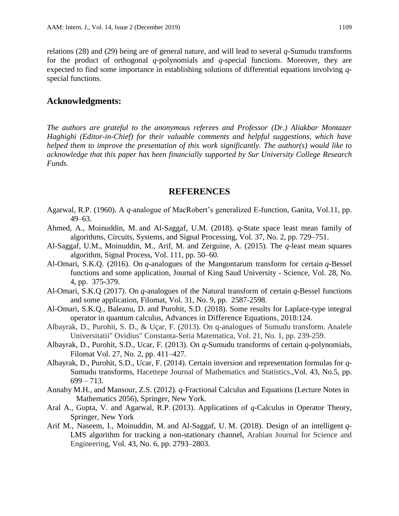relations (28) and (29) being are of general nature, and will lead to several *q*-Sumudu transforms for the product of orthogonal *q*-polynomials and *q*-special functions. Moreover, they are expected to find some importance in establishing solutions of differential equations involving *q*special functions.

# **Acknowledgments:**

*The authors are grateful to the anonymous referees and Professor (Dr.) Aliakbar Montazer Haghighi (Editor-in-Chief) for their valuable comments and helpful suggestions, which have helped them to improve the presentation of this work significantly. The author(s) would like to acknowledge that this paper has been financially supported by Sur University College Research Funds.*

## **REFERENCES**

- Agarwal, R.P. (1960). A *q*-analogue of MacRobert's generalized E-function, Ganita, Vol.11, pp. 49–63.
- Ahmed, A., Moinuddin, M. and Al-Saggaf, U.M. (2018). *q*-State space least mean family of algorithms, Circuits, Systems, and Signal Processing, Vol. 37, No. 2, pp. 729–751.
- Al-Saggaf, U.M., Moinuddin, M., Arif, M. and Zerguine, A. (2015). The *q*-least mean squares algorithm, Signal Process, Vol. 111, pp. 50–60.
- [Al-Omari,](https://www.sciencedirect.com/science/article/pii/S1018364715000439#!) S.K.Q. (2016). On *q*-analogues of the Mangontarum transform for certain *q*-Bessel functions and some application, [Journal of King Saud University -](https://www.sciencedirect.com/science/journal/10183647) Science, Vol. 28, No. 4, pp. 375-379.
- [Al-Omari,](https://www.sciencedirect.com/science/article/pii/S1018364715000439#!) S.K.Q (2017). On *q*-analogues of the Natural transform of certain *q*-Bessel functions and some application, Filomat, Vol. 31, No. 9, pp. 2587-2598.
- Al-Omari, S.K.Q., Baleanu, D. and Purohit, S.D. (2018). Some results for Laplace-type integral operator in quantum calculus, [Advances in Difference Equations,](https://link.springer.com/journal/13662) 2018:124.
- Albayrak, D., Purohit, S. D., & Uçar, F. (2013). On q-analogues of Sumudu transform. Analele Universitatii" Ovidius" Constanta-Seria Matematica, Vol. 21, No. 1, pp. 239-259.
- Albayrak, D., Purohit, S.D., Ucar, F. (2013). On *q*-Sumudu transforms of certain *q*-polynomials, Filomat Vol. 27, No. 2, pp. 411–427.
- Albayrak, D., Purohit, S.D., Ucar, F. (2014). Certain inversion and representation formulas for *q*-Sumudu transforms, Hacettepe Journal of Mathematics and Statistics.,Vol. 43, No.5, pp.  $699 - 713.$
- Annaby M.H., and Mansour, Z.S. (2012). *q*-Fractional Calculus and Equations (Lecture Notes in Mathematics 2056), Springer, New York.
- Aral A., Gupta, V. and Agarwal, R.P. (2013). Applications of *q*-Calculus in Operator Theory, Springer, New York
- Arif M., Naseem, I., Moinuddin, M. and Al-Saggaf, U. M. (2018). Design of an intelligent *q*-LMS algorithm for tracking a non-stationary channel, Arabian Journal for Science and Engineering, Vol. 43, No. 6, pp. 2793–2803.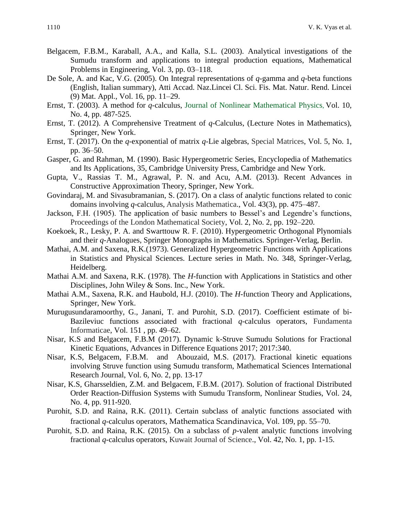- Belgacem, F.B.M., Karaball, A.A., and Kalla, S.L. (2003). Analytical investigations of the Sumudu transform and applications to integral production equations, Mathematical Problems in Engineering, Vol. 3, pp. 03–118.
- De Sole, A. and Kac, V.G. (2005). On Integral representations of *q*-gamma and *q*-beta functions (English, Italian summary), Atti Accad. Naz.Lincei Cl. Sci. Fis. Mat. Natur. Rend. Lincei (9) Mat. Appl., Vol. 16, pp. 11–29.
- Ernst, T. (2003). A method for *q*-calculus, Journal of Nonlinear Mathematical Physics, Vol. 10, No. 4, pp. 487-525.
- Ernst, T. (2012). A Comprehensive Treatment of *q*-Calculus, (Lecture Notes in Mathematics), Springer, New York.
- Ernst, T. (2017). On the *q*-exponential of matrix *q*-Lie algebras, Special Matrices, Vol. 5, No. 1, pp. 36–50.
- Gasper, G. and Rahman, M. (1990). Basic Hypergeometric Series, Encyclopedia of Mathematics and Its Applications, 35, Cambridge University Press, Cambridge and New York.
- Gupta, V., Rassias T. M., Agrawal, P. N. and Acu, A.M. (2013). Recent Advances in Constructive Approximation Theory, Springer, New York.
- Govindaraj, M. and Sivasubramanian, S. (2017). On a class of analytic functions related to conic domains involving *q*-calculus, Analysis Mathematica., Vol. 43(3), pp. 475–487.
- Jackson, F.H. (1905). The application of basic numbers to Bessel's and Legendre's functions, Proceedings of the London Mathematical Society, Vol. 2, No. 2, pp. 192–220.
- Koekoek, R., Lesky, P. A. and Swarttouw R. F. (2010). Hypergeometric Orthogonal Plynomials and their *q*-Analogues, Springer Monographs in Mathematics. Springer-Verlag, Berlin.
- Mathai, A.M. and Saxena, R.K.(1973). Generalized Hypergeometric Functions with Applications in Statistics and Physical Sciences. Lecture series in Math. No. 348, Springer-Verlag, Heidelberg.
- Mathai A.M. and Saxena, R.K. (1978). The *H*-function with Applications in Statistics and other Disciplines, John Wiley & Sons. Inc., New York.
- Mathai A.M., Saxena, R.K. and Haubold, H.J. (2010). The *H*-function Theory and Applications, Springer, New York.
- Murugusundaramoorthy, G., Janani, T. and Purohit, S.D. (2017). Coefficient estimate of bi-Bazileviuc functions associated with fractional *q*-calculus operators, Fundamenta Informaticae, Vol. 151 , pp. 49–62.
- Nisar, K.S and [Belgacem,](https://aip.scitation.org/author/Belgacem%2C+F+B+M) F.B.M (2017). Dynamic k-Struve Sumudu Solutions for Fractional Kinetic Equations, Advances in Difference Equations 2017; 2017:340.
- Nisar, K.S, [Belgacem,](https://aip.scitation.org/author/Belgacem%2C+F+B+M) F.B.M. and Abouzaid, M.S. (2017). Fractional kinetic equations involving Struve function using Sumudu transform, Mathematical Sciences International Research Journal, Vol. 6, No. 2, pp. 13-17
- Nisar, K.S, Gharsseldien, Z.M. and [Belgacem,](https://aip.scitation.org/author/Belgacem%2C+F+B+M) F.B.M. (2017). Solution of fractional Distributed Order Reaction-Diffusion Systems with Sumudu Transform, Nonlinear Studies, Vol. 24, No. 4, pp. 911-920.
- Purohit, S.D. and Raina, R.K. (2011). Certain subclass of analytic functions associated with fractional *q*-calculus operators, Mathematica Scandinavica, Vol. 109, pp. 55–70.
- Purohit, S.D. and Raina, R.K. (2015). On a subclass of *p*-valent analytic functions involving fractional *q*-calculus operators, Kuwait Journal of Science., Vol. 42, No. 1, pp. 1-15.